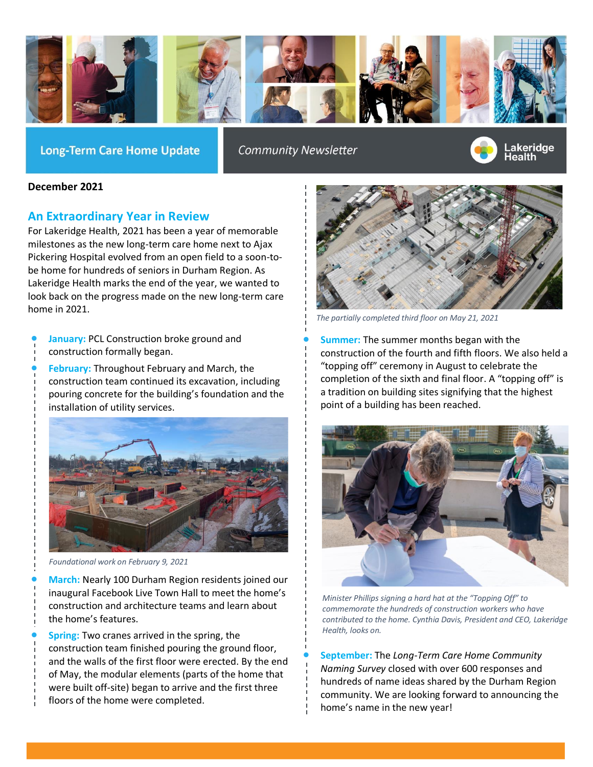

**Long-Term Care Home Update** 

**Community Newsletter** 



## **December 2021**

## **An Extraordinary Year in Review**

For Lakeridge Health, 2021 has been a year of memorable milestones as the new long-term care home next to Ajax Pickering Hospital evolved from an open field to a soon-tobe home for hundreds of seniors in Durham Region. As Lakeridge Health marks the end of the year, we wanted to look back on the progress made on the new long-term care home in 2021.

- **January:** PCL Construction broke ground and construction formally began.
- **February:** Throughout February and March, the construction team continued its excavation, including pouring concrete for the building's foundation and the installation of utility services.



*Foundational work on February 9, 2021*

• **March:** Nearly 100 Durham Region residents joined our inaugural Facebook Live Town Hall to meet the home's construction and architecture teams and learn about the home's features.

**Spring:** Two cranes arrived in the spring, the construction team finished pouring the ground floor, and the walls of the first floor were erected. By the end of May, the modular elements (parts of the home that were built off-site) began to arrive and the first three floors of the home were completed.



*The partially completed third floor on May 21, 2021*

• **Summer:** The summer months began with the construction of the fourth and fifth floors. We also held a "topping off" ceremony in August to celebrate the completion of the sixth and final floor. A "topping off" is a tradition on building sites signifying that the highest point of a building has been reached.



*Minister Phillips signing a hard hat at the "Topping Off" to commemorate the hundreds of construction workers who have contributed to the home. Cynthia Davis, President and CEO, Lakeridge Health, looks on.*

• **September:** The *Long-Term Care Home Community Naming Survey* closed with over 600 responses and hundreds of name ideas shared by the Durham Region community. We are looking forward to announcing the home's name in the new year!